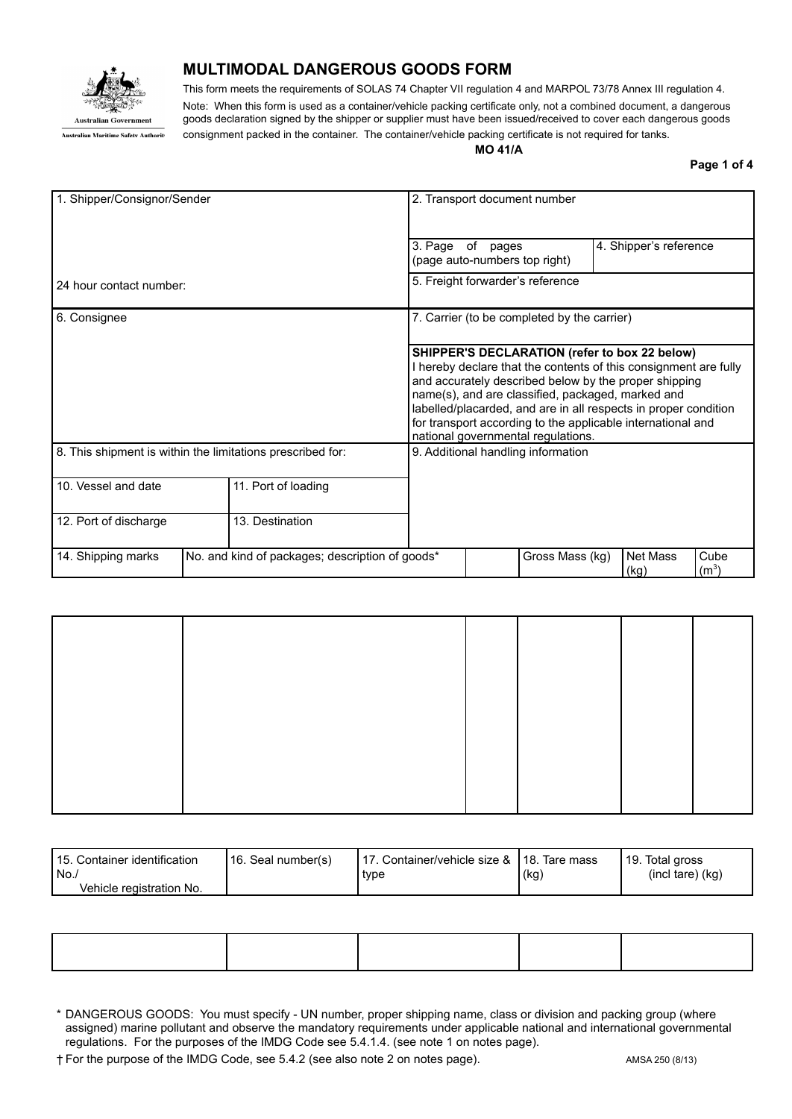

## **MULTIMODAL DANGEROUS GOODS FORM**

This form meets the requirements of SOLAS 74 Chapter VII regulation 4 and MARPOL 73/78 Annex III regulation 4. Note: When this form is used as a container/vehicle packing certificate only, not a combined document, a dangerous goods declaration signed by the shipper or supplier must have been issued/received to cover each dangerous goods consignment packed in the container. The container/vehicle packing certificate is not required for tanks.

**MO 41/A**

**Page 1 of 4**

| 1. Shipper/Consignor/Sender                                           |  | 2. Transport document number |                                                                                                                                                                                                                                                                                                                                                                                                         |                                                                  |  |                  |                 |  |
|-----------------------------------------------------------------------|--|------------------------------|---------------------------------------------------------------------------------------------------------------------------------------------------------------------------------------------------------------------------------------------------------------------------------------------------------------------------------------------------------------------------------------------------------|------------------------------------------------------------------|--|------------------|-----------------|--|
|                                                                       |  |                              | 3. Page of                                                                                                                                                                                                                                                                                                                                                                                              | 4. Shipper's reference<br>pages<br>(page auto-numbers top right) |  |                  |                 |  |
| 24 hour contact number:                                               |  |                              | 5. Freight forwarder's reference                                                                                                                                                                                                                                                                                                                                                                        |                                                                  |  |                  |                 |  |
| 6. Consignee                                                          |  |                              | 7. Carrier (to be completed by the carrier)                                                                                                                                                                                                                                                                                                                                                             |                                                                  |  |                  |                 |  |
|                                                                       |  |                              | SHIPPER'S DECLARATION (refer to box 22 below)<br>I hereby declare that the contents of this consignment are fully<br>and accurately described below by the proper shipping<br>name(s), and are classified, packaged, marked and<br>labelled/placarded, and are in all respects in proper condition<br>for transport according to the applicable international and<br>national governmental regulations. |                                                                  |  |                  |                 |  |
| 8. This shipment is within the limitations prescribed for:            |  |                              |                                                                                                                                                                                                                                                                                                                                                                                                         | 9. Additional handling information                               |  |                  |                 |  |
| 10. Vessel and date                                                   |  | 11. Port of loading          |                                                                                                                                                                                                                                                                                                                                                                                                         |                                                                  |  |                  |                 |  |
| 12. Port of discharge                                                 |  | 13. Destination              |                                                                                                                                                                                                                                                                                                                                                                                                         |                                                                  |  |                  |                 |  |
| No. and kind of packages; description of goods*<br>14. Shipping marks |  |                              |                                                                                                                                                                                                                                                                                                                                                                                                         | Gross Mass (kg)                                                  |  | Net Mass<br>(kg) | Cube<br>$(m^3)$ |  |

| 115. Container identification | l 16. Seal number(s) | 17. Container/vehicle size & 118. Tare mass |      | 19. Total gross      |
|-------------------------------|----------------------|---------------------------------------------|------|----------------------|
| l No.,                        |                      | type                                        | (kg) | $(incl tare)$ $(kq)$ |
| Vehicle registration No.      |                      |                                             |      |                      |

<sup>\*</sup> DANGEROUS GOODS: You must specify - UN number, proper shipping name, class or division and packing group (where assigned) marine pollutant and observe the mandatory requirements under applicable national and international governmental regulations. For the purposes of the IMDG Code see 5.4.1.4. (see note 1 on notes page).

† For the purpose of the IMDG Code, see 5.4.2 (see also note 2 on notes page). AMSA 250 (8/13)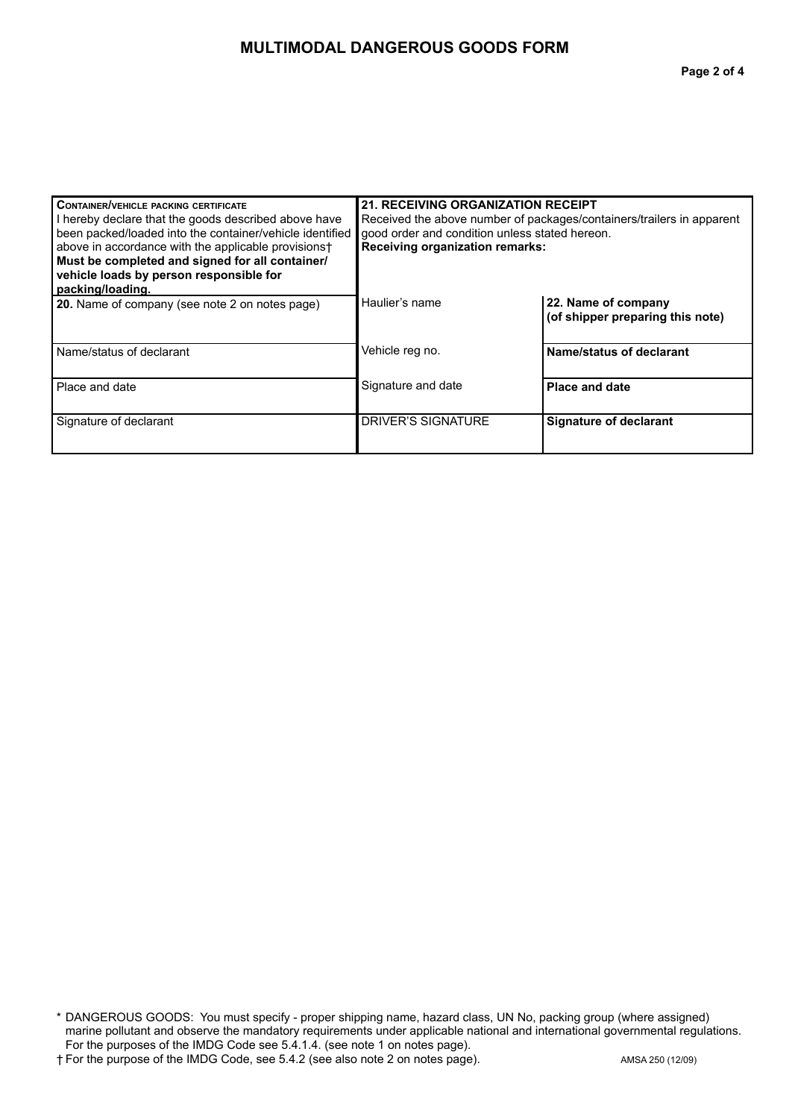## **MULTIMODAL DANGEROUS GOODS FORM**

| <b>CONTAINER/VEHICLE PACKING CERTIFICATE</b><br>I hereby declare that the goods described above have<br>been packed/loaded into the container/vehicle identified<br>above in accordance with the applicable provisions†<br>Must be completed and signed for all container/<br>vehicle loads by person responsible for<br>packing/loading. | 21. RECEIVING ORGANIZATION RECEIPT<br>Received the above number of packages/containers/trailers in apparent<br>good order and condition unless stated hereon.<br><b>Receiving organization remarks:</b> |                                                         |  |
|-------------------------------------------------------------------------------------------------------------------------------------------------------------------------------------------------------------------------------------------------------------------------------------------------------------------------------------------|---------------------------------------------------------------------------------------------------------------------------------------------------------------------------------------------------------|---------------------------------------------------------|--|
| 20. Name of company (see note 2 on notes page)                                                                                                                                                                                                                                                                                            | Haulier's name                                                                                                                                                                                          | 22. Name of company<br>(of shipper preparing this note) |  |
| Name/status of declarant                                                                                                                                                                                                                                                                                                                  | Vehicle reg no.                                                                                                                                                                                         | Name/status of declarant                                |  |
| Place and date                                                                                                                                                                                                                                                                                                                            | Signature and date                                                                                                                                                                                      | <b>Place and date</b>                                   |  |
| Signature of declarant                                                                                                                                                                                                                                                                                                                    | DRIVER'S SIGNATURE                                                                                                                                                                                      | <b>Signature of declarant</b>                           |  |

<sup>\*</sup> DANGEROUS GOODS: You must specify - proper shipping name, hazard class, UN No, packing group (where assigned) marine pollutant and observe the mandatory requirements under applicable national and international governmental regulations. For the purposes of the IMDG Code see 5.4.1.4. (see note 1 on notes page).

<sup>†</sup> For the purpose of the IMDG Code, see 5.4.2 (see also note 2 on notes page). AMSA 250 (12/09)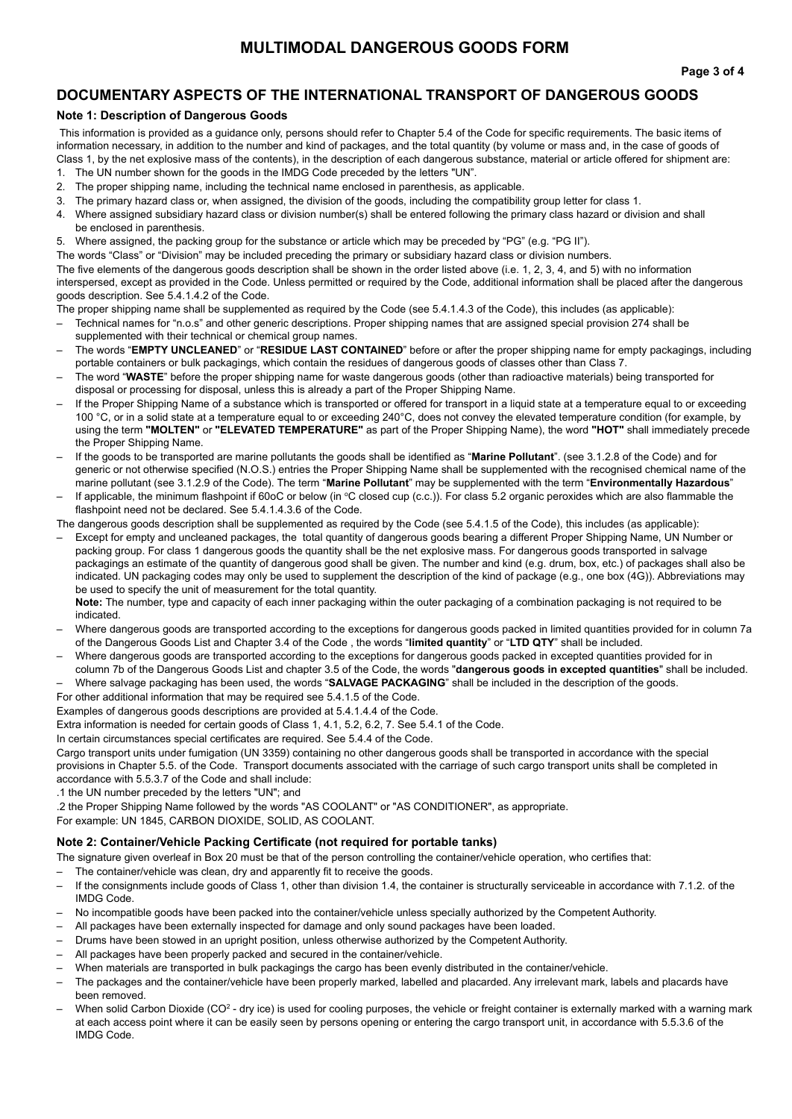### **DOCUMENTARY ASPECTS OF THE INTERNATIONAL TRANSPORT OF DANGEROUS GOODS**

#### **Note 1: Description of Dangerous Goods**

This information is provided as a guidance only, persons should refer to Chapter 5.4 of the Code for specific requirements. The basic items of information necessary, in addition to the number and kind of packages, and the total quantity (by volume or mass and, in the case of goods of Class 1, by the net explosive mass of the contents), in the description of each dangerous substance, material or article offered for shipment are:

- 1. The UN number shown for the goods in the IMDG Code preceded by the letters "UN".
- 2. The proper shipping name, including the technical name enclosed in parenthesis, as applicable.
- 3. The primary hazard class or, when assigned, the division of the goods, including the compatibility group letter for class 1.
- 4. Where assigned subsidiary hazard class or division number(s) shall be entered following the primary class hazard or division and shall be enclosed in parenthesis.
- 5. Where assigned, the packing group for the substance or article which may be preceded by "PG" (e.g. "PG II").

The words "Class" or "Division" may be included preceding the primary or subsidiary hazard class or division numbers. The five elements of the dangerous goods description shall be shown in the order listed above (i.e. 1, 2, 3, 4, and 5) with no information interspersed, except as provided in the Code. Unless permitted or required by the Code, additional information shall be placed after the dangerous goods description. See 5.4.1.4.2 of the Code.

The proper shipping name shall be supplemented as required by the Code (see 5.4.1.4.3 of the Code), this includes (as applicable):

- Technical names for "n.o.s" and other generic descriptions. Proper shipping names that are assigned special provision 274 shall be supplemented with their technical or chemical group names.
- The words "**EMPTY UNCLEANED**" or "**RESIDUE LAST CONTAINED**" before or after the proper shipping name for empty packagings, including portable containers or bulk packagings, which contain the residues of dangerous goods of classes other than Class 7.
- The word "**WASTE**" before the proper shipping name for waste dangerous goods (other than radioactive materials) being transported for disposal or processing for disposal, unless this is already a part of the Proper Shipping Name.
- If the Proper Shipping Name of a substance which is transported or offered for transport in a liquid state at a temperature equal to or exceeding 100 °C, or in a solid state at a temperature equal to or exceeding 240°C, does not convey the elevated temperature condition (for example, by using the term **"MOLTEN"** or **"ELEVATED TEMPERATURE"** as part of the Proper Shipping Name), the word **"HOT"** shall immediately precede the Proper Shipping Name.
- If the goods to be transported are marine pollutants the goods shall be identified as "**Marine Pollutant**". (see 3.1.2.8 of the Code) and for generic or not otherwise specified (N.O.S.) entries the Proper Shipping Name shall be supplemented with the recognised chemical name of the marine pollutant (see 3.1.2.9 of the Code). The term "**Marine Pollutant**" may be supplemented with the term "**Environmentally Hazardous**"
- If applicable, the minimum flashpoint if 60oC or below (in °C closed cup (c.c.)). For class 5.2 organic peroxides which are also flammable the flashpoint need not be declared. See 5.4.1.4.3.6 of the Code.

The dangerous goods description shall be supplemented as required by the Code (see 5.4.1.5 of the Code), this includes (as applicable):

– Except for empty and uncleaned packages, the total quantity of dangerous goods bearing a different Proper Shipping Name, UN Number or packing group. For class 1 dangerous goods the quantity shall be the net explosive mass. For dangerous goods transported in salvage packagings an estimate of the quantity of dangerous good shall be given. The number and kind (e.g. drum, box, etc.) of packages shall also be indicated. UN packaging codes may only be used to supplement the description of the kind of package (e.g., one box (4G)). Abbreviations may be used to specify the unit of measurement for the total quantity.

**Note:** The number, type and capacity of each inner packaging within the outer packaging of a combination packaging is not required to be indicated.

- Where dangerous goods are transported according to the exceptions for dangerous goods packed in limited quantities provided for in column 7a of the Dangerous Goods List and Chapter 3.4 of the Code , the words "**limited quantity**" or "**LTD QTY**" shall be included.
- Where dangerous goods are transported according to the exceptions for dangerous goods packed in excepted quantities provided for in column 7b of the Dangerous Goods List and chapter 3.5 of the Code, the words "**dangerous goods in excepted quantities**" shall be included.
- Where salvage packaging has been used, the words "**SALVAGE PACKAGING**" shall be included in the description of the goods.

For other additional information that may be required see 5.4.1.5 of the Code.

Examples of dangerous goods descriptions are provided at 5.4.1.4.4 of the Code.

Extra information is needed for certain goods of Class 1, 4.1, 5.2, 6.2, 7. See 5.4.1 of the Code.

In certain circumstances special certificates are required. See 5.4.4 of the Code.

Cargo transport units under fumigation (UN 3359) containing no other dangerous goods shall be transported in accordance with the special provisions in Chapter 5.5. of the Code. Transport documents associated with the carriage of such cargo transport units shall be completed in accordance with 5.5.3.7 of the Code and shall include:

.1 the UN number preceded by the letters "UN"; and

.2 the Proper Shipping Name followed by the words "AS COOLANT" or "AS CONDITIONER", as appropriate.

For example: UN 1845, CARBON DIOXIDE, SOLID, AS COOLANT.

#### **Note 2: Container/Vehicle Packing Certificate (not required for portable tanks)**

- The signature given overleaf in Box 20 must be that of the person controlling the container/vehicle operation, who certifies that:
- The container/vehicle was clean, dry and apparently fit to receive the goods.
- If the consignments include goods of Class 1, other than division 1.4, the container is structurally serviceable in accordance with 7.1.2. of the IMDG Code.
- No incompatible goods have been packed into the container/vehicle unless specially authorized by the Competent Authority.
- All packages have been externally inspected for damage and only sound packages have been loaded.
- Drums have been stowed in an upright position, unless otherwise authorized by the Competent Authority.
- All packages have been properly packed and secured in the container/vehicle.
- When materials are transported in bulk packagings the cargo has been evenly distributed in the container/vehicle.
- The packages and the container/vehicle have been properly marked, labelled and placarded. Any irrelevant mark, labels and placards have been removed.
- $-$  When solid Carbon Dioxide (CO<sup>2</sup> dry ice) is used for cooling purposes, the vehicle or freight container is externally marked with a warning mark at each access point where it can be easily seen by persons opening or entering the cargo transport unit, in accordance with 5.5.3.6 of the IMDG Code.